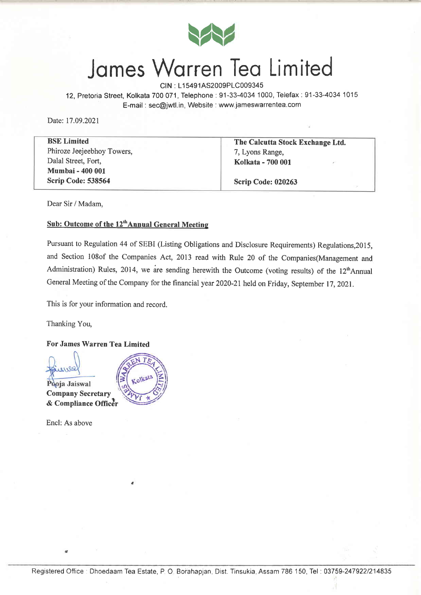

### Jomes Wqrren Teo Limited

CIN : L15491AS2009PLC009345

12, Pretoria Street, Kolkata 700 071, Telephone: 91-33-4034 1000, Telefax: 91-33-4034 1015 E-mail : sec@jwtl.in, Website : www.jameswarrentea.com

Date: 17.09.2021

BSE Limited Phiroze Jeejeebhoy Towers, Dalal Street, Fort, Mumbai - 400 001 Scrip Code: 538564

The Calcutta Stock Exchange Ltd. 7, Lyons Range, Kolkata - 700 001

Scrip Code: 020263

Dear Sir / Madam,

#### Sub: Outcome of the 12<sup>th</sup>Annual General Meeting

Pursuant to Regulation 44 of SEBI (Listing Obligations and Disclosure Requirements) Regulations ,2015, and Section l08of the Companies Act, 2013 read with Rule 20 of the Companies(Management and Administration) Rules, 2014, we are sending herewith the Outcome (voting results) of the  $12<sup>th</sup>$ Annual General Meeting of the Company for the financial year 2020-21 held on Friday, September 17, 2021.

This is for your information and record.

Thanking You,

For James Warren Tea Limited

Pooja Jaiswal Company Secretary & Compliance Officer

Encl: As above

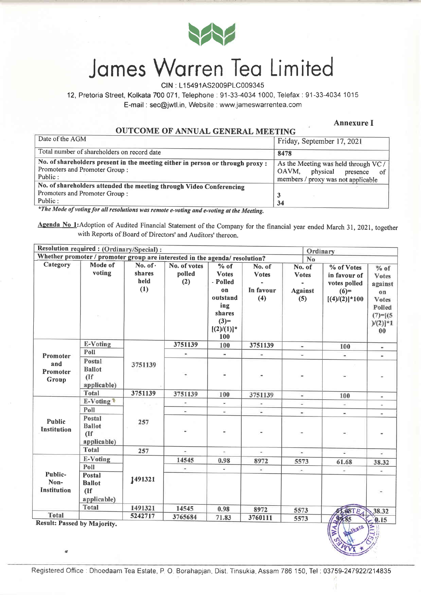

# James Warren Tea Limited

CIN : L1 5491AS2009P1C009345

12, Pretoria Street, Kolkata 700 071, Telephone. 91-33-4034't000, Telefax: 91-33-4034 '1015 E-mail : sec@jwtl.in, Website : www jameswarrentea.com

Annexure I

OUTCOME OF ANNUAL GENERAL MEETING

| Date of the AGM                                                                                                            | Friday, September 17, 2021                                                                                        |  |  |  |  |
|----------------------------------------------------------------------------------------------------------------------------|-------------------------------------------------------------------------------------------------------------------|--|--|--|--|
| Total number of shareholders on record date                                                                                | 8478                                                                                                              |  |  |  |  |
| No. of shareholders present in the meeting either in person or through proxy :<br>Promoters and Promoter Group:<br>Public: | As the Meeting was held through VC /<br>physical<br>OAVM.<br>presence<br>0t<br>members / proxy was not applicable |  |  |  |  |
| No. of shareholders attended the meeting through Video Conferencing<br>Promoters and Promoter Group:<br>Public:            | 34                                                                                                                |  |  |  |  |

\*The Mode of voting for all resolutions was remote e-voting and e-voting at the Meeting,

Agenda No 1: Adoption of Audited Financial Statement of the Company for the financial year ended March 31, 2021, together with Reports of Board of Directors' and Auditors' thereon.

| Resolution required: (Ordinary/Special):<br>Ordinary |                                                                             |                                         |                               |                                                                                                         |                                            |                                                 |                                                                          |                                                                                         |  |
|------------------------------------------------------|-----------------------------------------------------------------------------|-----------------------------------------|-------------------------------|---------------------------------------------------------------------------------------------------------|--------------------------------------------|-------------------------------------------------|--------------------------------------------------------------------------|-----------------------------------------------------------------------------------------|--|
|                                                      | Whether promoter / promoter group are interested in the agenda/ resolution? |                                         |                               |                                                                                                         |                                            | No                                              |                                                                          |                                                                                         |  |
| Category                                             | Mode of<br>voting                                                           | No. of $\cdot$<br>shares<br>held<br>(1) | No. of votes<br>polled<br>(2) | $%$ of<br><b>Votes</b><br>- Polled<br>on<br>outstand<br>ing<br>shares<br>$(3)=$<br>$[(2)/(1)]^*$<br>100 | No. of<br><b>Votes</b><br>In favour<br>(4) | No. of<br><b>Votes</b><br><b>Against</b><br>(5) | % of Votes<br>in favour of<br>votes polled<br>$(6)=$<br>$[(4)/(2)]$ *100 | $%$ of<br>Votes<br>against<br>on<br>Votes<br>Polled<br>$(7) = [(5$<br>$)/(2)]$ *1<br>00 |  |
|                                                      | E-Voting                                                                    |                                         | 3751139                       | 100                                                                                                     | 3751139                                    | $\blacksquare$                                  | 100                                                                      | $\blacksquare$                                                                          |  |
| Promoter                                             | Poll                                                                        |                                         | $\bar{a}$                     | $\rightarrow$                                                                                           |                                            | $\overline{a}$                                  |                                                                          | $\overline{\phantom{a}}$                                                                |  |
| and<br>Promoter<br>Group                             | Postal<br><b>Ballot</b><br>(If)<br>applicable)                              | 3751139                                 |                               |                                                                                                         |                                            |                                                 |                                                                          | u                                                                                       |  |
|                                                      | Total                                                                       | 3751139                                 | 3751139                       | 100                                                                                                     | 3751139                                    | $\overline{\phantom{a}}$                        | 100                                                                      | ä,                                                                                      |  |
|                                                      | E-Voting                                                                    |                                         | $\overline{\phantom{a}}$      | ÷                                                                                                       |                                            | ü                                               |                                                                          | $\overline{\phantom{a}}$                                                                |  |
|                                                      | Poll                                                                        |                                         | $\omega$                      | u.                                                                                                      |                                            | $\frac{1}{2}$                                   | ×,                                                                       | ×,                                                                                      |  |
| <b>Public</b><br><b>Institution</b>                  | Postal<br><b>Ballot</b><br>(If)<br>applicable)                              | 257                                     |                               |                                                                                                         |                                            |                                                 |                                                                          |                                                                                         |  |
|                                                      | Total                                                                       | 257                                     |                               |                                                                                                         |                                            | $\frac{1}{2}$                                   | s.                                                                       | ν                                                                                       |  |
|                                                      | E-Voting                                                                    |                                         | 14545                         | 0.98                                                                                                    | 8972                                       | 5573                                            | 61.68                                                                    | 38.32                                                                                   |  |
|                                                      | Poll                                                                        |                                         | $\blacksquare$                | W.                                                                                                      | $\omega$                                   | ÷                                               |                                                                          |                                                                                         |  |
| Public-<br>Non-<br>Institution                       | Postal<br><b>Ballot</b><br>(If)<br>applicable)                              | 1491321                                 |                               |                                                                                                         |                                            |                                                 |                                                                          |                                                                                         |  |
|                                                      | Total                                                                       | 1491321                                 | 14545                         | 0.98                                                                                                    | 8972                                       | 5573                                            | 68TE                                                                     | 38.32                                                                                   |  |
| Total                                                |                                                                             | 5242717                                 | 3765684                       | 71.83                                                                                                   | 3760111                                    | 5573                                            | 99.85                                                                    | $-0.15$                                                                                 |  |
| Result: Passed by Majority.                          |                                                                             |                                         |                               |                                                                                                         |                                            |                                                 | Ralkata<br>WA                                                            | AIL                                                                                     |  |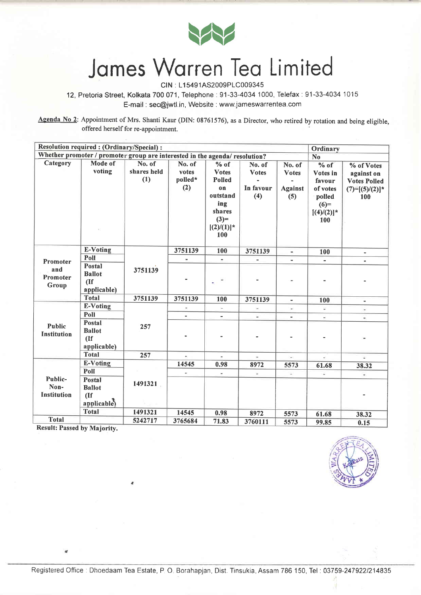

### Jomes Worren Ieo Limited

CIN : L15491AS2009PLC009345

12, Pretoria Street, Kolkata 700071, Telephone:91-33-4034 1000, Telefax:91-33-4034 1015 E-mail : sec@jwtl.in, Website : www.jameswarrentea.com

Agenda No 2: Appointment of Mrs. Shanti Kaur (DIN: 08761576), as a Director, who retired by rotation and being eligible, offered herself for re-appointment.

| Resolution required : (Ordinary/Special) :<br>Ordinary                      |               |             |                          |                          |              |                          |                      |                          |  |
|-----------------------------------------------------------------------------|---------------|-------------|--------------------------|--------------------------|--------------|--------------------------|----------------------|--------------------------|--|
| Whether promoter / promoter group are interested in the agenda/ resolution? |               |             |                          |                          |              |                          | N <sub>0</sub>       |                          |  |
| Category                                                                    | Mode of       | No. of      | No. of                   | $%$ of                   | No. of       | No. of                   | $%$ of<br>% of Votes |                          |  |
|                                                                             | voting        | shares held | votes                    | <b>Votes</b>             | <b>Votes</b> | <b>Votes</b>             | Votes in             | against on               |  |
|                                                                             |               | (1)         | polled*                  | <b>Polled</b>            |              |                          | favour               | <b>Votes Polled</b>      |  |
|                                                                             |               |             | (2)                      | on                       | In favour    | <b>Against</b>           | of votes             | $(7)=[(5)/(2)]$ *        |  |
|                                                                             |               |             |                          | outstand                 | (4)          | (5)                      | polled               | 100                      |  |
|                                                                             |               |             |                          | ing                      |              |                          | $(6)=$               |                          |  |
|                                                                             |               |             |                          | shares                   |              |                          | $[(4)/(2)]$ *        |                          |  |
|                                                                             |               |             |                          | $(3)=$                   |              |                          | 100                  |                          |  |
|                                                                             |               |             |                          | $[(2)/(1)]^*$            |              |                          |                      |                          |  |
|                                                                             |               |             |                          | 100                      |              |                          |                      |                          |  |
|                                                                             | E-Voting      |             | 3751139                  | 100                      | 3751139      | $\overline{\phantom{a}}$ | 100                  |                          |  |
|                                                                             | Poll          |             |                          |                          |              | $\blacksquare$           |                      | Ξ.                       |  |
| <b>Promoter</b>                                                             | Postal        |             |                          |                          |              |                          |                      |                          |  |
| and                                                                         | <b>Ballot</b> | 3751139     |                          |                          |              |                          |                      |                          |  |
| Promoter<br>Group                                                           | (If)          |             |                          |                          |              |                          |                      |                          |  |
|                                                                             | applicable)   |             |                          |                          |              |                          |                      |                          |  |
|                                                                             | <b>Total</b>  | 3751139     | 3751139                  | 100                      | 3751139      | $\overline{\phantom{a}}$ | 100                  | $\overline{\phantom{a}}$ |  |
|                                                                             | E-Voting      | 257         | $\overline{\phantom{a}}$ | ÷,                       | ×,           |                          | ù.                   | $\omega$                 |  |
|                                                                             | Poll          |             |                          | $\overline{\phantom{0}}$ | u,           | $\overline{\phantom{a}}$ | ×,                   | $\overline{\phantom{a}}$ |  |
| <b>Public</b>                                                               | Postal        |             |                          |                          |              |                          |                      |                          |  |
| <b>Institution</b>                                                          | <b>Ballot</b> |             |                          |                          |              |                          |                      |                          |  |
|                                                                             | (If)          |             |                          |                          |              |                          |                      |                          |  |
|                                                                             | applicable)   |             |                          |                          |              |                          |                      |                          |  |
|                                                                             | <b>Total</b>  | 257         | $\overline{\mathcal{C}}$ | $\overline{\phantom{a}}$ | $\pm$        | УĤ,                      | $\frac{1}{2}$        | ¥.                       |  |
|                                                                             | E-Voting      |             | 14545                    | 0.98                     | 8972         | 5573                     | 61.68                | 38.32                    |  |
|                                                                             | Poll          |             |                          | ×                        | ù.           | z,                       |                      |                          |  |
| Public-<br>Non-                                                             | <b>Postal</b> | 1491321     |                          |                          |              |                          |                      |                          |  |
|                                                                             | <b>Ballot</b> |             |                          |                          |              |                          |                      |                          |  |
| Institution                                                                 | (If)          |             |                          |                          |              |                          |                      |                          |  |
|                                                                             | applicable)   |             |                          |                          |              |                          |                      |                          |  |
| <b>Total</b>                                                                | <b>Total</b>  | 1491321     | 14545                    | 0.98                     | 8972         | 5573                     | 61.68                | 38.32                    |  |
|                                                                             |               | 5242717     | 3765684                  | 71.83                    | 3760111      | 5573                     | 99.85                | 0.15                     |  |

Result: Passed by Majority.

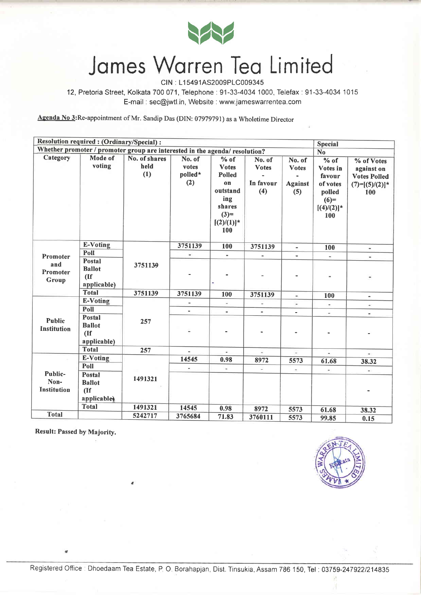

#### Jomes Worren Teo Limited

CIN : L1 5491AS2009P1C009345

12, Pretoria Street, Kolkata 700 071, Telephone : 91-33-4034 1000, Telefax : 91-33-4034 1015 E-mail : sec@jwtl.in, Website : www.jameswarrentea.com

Aeenda No 3:Re-appointment of Mr. Sandip Das (DIN: 07979791) as a Wholetime Director

|                                                                             | Resolution required : (Ordinary/Special) :            |                              |                                   |                                                                                                              |                                            |                                                 | Special                                                                              |                                                                             |  |
|-----------------------------------------------------------------------------|-------------------------------------------------------|------------------------------|-----------------------------------|--------------------------------------------------------------------------------------------------------------|--------------------------------------------|-------------------------------------------------|--------------------------------------------------------------------------------------|-----------------------------------------------------------------------------|--|
| Whether promoter / promoter group are interested in the agenda/ resolution? |                                                       |                              |                                   |                                                                                                              |                                            |                                                 |                                                                                      | N <sub>o</sub>                                                              |  |
| Category                                                                    | Mode of<br>voting                                     | No. of shares<br>held<br>(1) | No. of<br>votes<br>polled*<br>(2) | $%$ of<br><b>Votes</b><br><b>Polled</b><br>on<br>outstand<br>ing<br>shares<br>$(3)=$<br>$[(2)/(1)]^*$<br>100 | No. of<br><b>Votes</b><br>In favour<br>(4) | No. of<br><b>Votes</b><br><b>Against</b><br>(5) | $%$ of<br>Votes in<br>favour<br>of votes<br>polled<br>$(6)=$<br>$[(4)/(2)]$ *<br>100 | % of Votes<br>against on<br><b>Votes Polled</b><br>$(7)=[(5)/(2)]$ *<br>100 |  |
|                                                                             | E-Voting                                              |                              | 3751139                           | 100                                                                                                          | 3751139                                    | $\sim$                                          | 100                                                                                  | $\blacksquare$                                                              |  |
| Promoter                                                                    | Poll                                                  |                              | ×,                                | $\overline{\phantom{a}}$                                                                                     | $\overline{a}$                             | $\overline{\phantom{a}}$                        | $\sim$                                                                               | w.                                                                          |  |
| and<br>Promoter<br>Group                                                    | Postal<br><b>Ballot</b><br>(If)<br>applicable)        | 3751139                      |                                   |                                                                                                              |                                            |                                                 |                                                                                      |                                                                             |  |
|                                                                             | <b>Total</b>                                          | 3751139                      | 3751139                           | 100                                                                                                          | 3751139                                    | $\blacksquare$                                  | 100                                                                                  | $\blacksquare$                                                              |  |
|                                                                             | <b>E-Voting</b>                                       | 257                          | $\blacksquare$                    | $\frac{1}{2}$                                                                                                |                                            | $\overline{\phantom{a}}$                        | $\overline{\phantom{a}}$                                                             | $\hat{\phantom{a}}$                                                         |  |
|                                                                             | Poll                                                  |                              | $\overline{a}$                    | u.                                                                                                           | ä,                                         | $\frac{1}{2}$                                   | $\frac{1}{2}$                                                                        | $\blacksquare$                                                              |  |
| <b>Public</b><br><b>Institution</b>                                         | <b>Postal</b><br><b>Ballot</b><br>(If)<br>applicable) |                              |                                   |                                                                                                              |                                            |                                                 |                                                                                      |                                                                             |  |
|                                                                             | <b>Total</b>                                          | 257                          |                                   | $\omega$                                                                                                     | 里                                          | 渲                                               | ÷.                                                                                   |                                                                             |  |
|                                                                             | E-Voting                                              |                              | 14545                             | 0.98                                                                                                         | 8972                                       | 5573                                            | 61.68                                                                                | 38.32                                                                       |  |
|                                                                             | Poll                                                  |                              |                                   | w.                                                                                                           | ü.                                         | ÷                                               | $\blacksquare$                                                                       | $\rightarrow$                                                               |  |
| Public-<br>Non-<br><b>Institution</b>                                       | Postal<br><b>Ballot</b><br>(If<br>applicable          | 1491321                      |                                   |                                                                                                              |                                            |                                                 |                                                                                      |                                                                             |  |
|                                                                             | <b>Total</b>                                          | 1491321                      | 14545                             | 0.98                                                                                                         | 8972                                       | 5573                                            | 61.68                                                                                | 38.32                                                                       |  |
| <b>Total</b>                                                                |                                                       | 5242717                      | 3765684                           | 71.83                                                                                                        | 3760111                                    | 5573                                            | 99.85                                                                                | 0.15                                                                        |  |

Result: Passed by Majority.

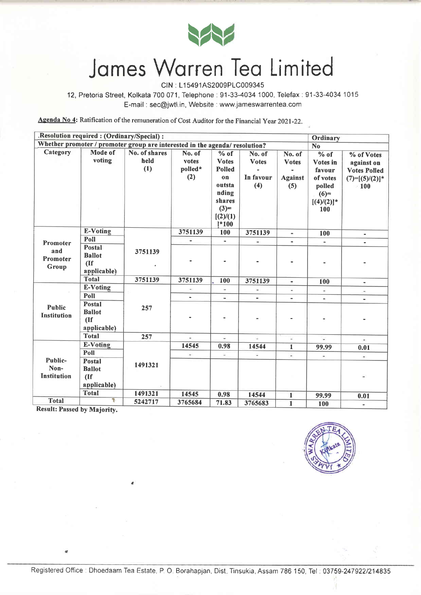

# James Warren Tea Limited

CIN : L15491AS2009PLC009345

12, Pretoria Street, Kolkata 700071, Telephone:91-33-4034 1000, Telefax:91-33-4034 1015 E-mail : sec@jwtl.in, Website : www.jameswarrentea.com

Agenda No 4: Ratification of the remuneration of Cost Auditor for the Financial Year 2021-22.

|                                                                             | .Resolution required : (Ordinary/Special) :                          |                              |                                   |                                                                                                              |                                            |                                                  | Ordinary                                                                             |                                                                                       |
|-----------------------------------------------------------------------------|----------------------------------------------------------------------|------------------------------|-----------------------------------|--------------------------------------------------------------------------------------------------------------|--------------------------------------------|--------------------------------------------------|--------------------------------------------------------------------------------------|---------------------------------------------------------------------------------------|
| Whether promoter / promoter group are interested in the agenda/ resolution? |                                                                      |                              |                                   |                                                                                                              |                                            |                                                  | N <sub>o</sub>                                                                       |                                                                                       |
| Category                                                                    | Mode of<br>voting                                                    | No. of shares<br>held<br>(1) | No. of<br>votes<br>polled*<br>(2) | $%$ of<br><b>Votes</b><br><b>Polled</b><br>on<br>outsta<br>nding<br>shares<br>$(3)=$<br>[(2)/(1)]<br>$1*100$ | No. of<br><b>Votes</b><br>In favour<br>(4) | No. of<br><b>V</b> otes<br><b>Against</b><br>(5) | $%$ of<br>Votes in<br>favour<br>of votes<br>polled<br>$(6)=$<br>$[(4)/(2)]$ *<br>100 | % of Votes<br>against on<br><b>Votes Polled</b><br>$(7)=[(5)/(2)]$ *<br>$\approx 100$ |
|                                                                             | E-Voting                                                             |                              | 3751139                           | 100                                                                                                          | 3751139                                    | $\qquad \qquad \blacksquare$                     | 100                                                                                  |                                                                                       |
| Promoter                                                                    | Poll                                                                 |                              | $\overline{\phantom{a}}$          | $\sim$                                                                                                       | $\overline{\phantom{a}}$                   | $\tilde{\phantom{a}}$                            | $\blacksquare$                                                                       |                                                                                       |
| and<br>Promoter<br>Group                                                    | <b>Postal</b><br><b>Ballot</b><br>(If)<br>applicable)                | 3751139                      |                                   |                                                                                                              |                                            |                                                  |                                                                                      |                                                                                       |
|                                                                             | <b>Total</b>                                                         | 3751139                      | 3751139                           | 100                                                                                                          | 3751139                                    | $\blacksquare$                                   | 100                                                                                  | ٠                                                                                     |
|                                                                             | <b>E-Voting</b>                                                      | 257                          | $\overline{\phantom{a}}$          | ÷,                                                                                                           |                                            | a,                                               | w.                                                                                   |                                                                                       |
|                                                                             | Poll                                                                 |                              |                                   | z.                                                                                                           | $\overline{\phantom{a}}$                   | $\overline{a}$                                   |                                                                                      | $\blacksquare$                                                                        |
| <b>Public</b><br>Institution                                                | Postal<br><b>Ballot</b><br>(If)<br>applicable)                       |                              |                                   |                                                                                                              | $\overline{\phantom{a}}$                   |                                                  |                                                                                      |                                                                                       |
|                                                                             | <b>Total</b>                                                         | 257                          | ÷                                 | $\omega$                                                                                                     | ÷.                                         | ¥.                                               | $\overline{a}$                                                                       | $\overline{\phantom{a}}$                                                              |
|                                                                             | <b>E-Voting</b>                                                      |                              | 14545                             | 0.98                                                                                                         | 14544                                      | $\mathbf 1$                                      | 99.99                                                                                | 0.01                                                                                  |
|                                                                             | Poll                                                                 |                              | $\overline{\phantom{a}}$          | ٠                                                                                                            | ü.                                         | $\omega$                                         | $\overline{a}$                                                                       | $\omega$                                                                              |
| Public-<br>Non-<br><b>Institution</b>                                       | Postal<br><b>Ballot</b><br>$($ If<br>applicable)                     | 1491321                      |                                   |                                                                                                              |                                            |                                                  |                                                                                      |                                                                                       |
|                                                                             | <b>Total</b>                                                         | 1491321                      | 14545                             | 0.98                                                                                                         | 14544                                      | $\mathbf{1}$                                     | 99.99                                                                                | 0.01                                                                                  |
| <b>Total</b><br>$D = -14.76$                                                | Ŧ<br>$\mathbf{r}$ and $\mathbf{r}$ and $\mathbf{r}$ and $\mathbf{r}$ | 5242717                      | 3765684                           | 71.83                                                                                                        | 3765683                                    | $\mathbf{1}$                                     | 100                                                                                  | $\overline{a}$                                                                        |

Result: Passed by Majority.